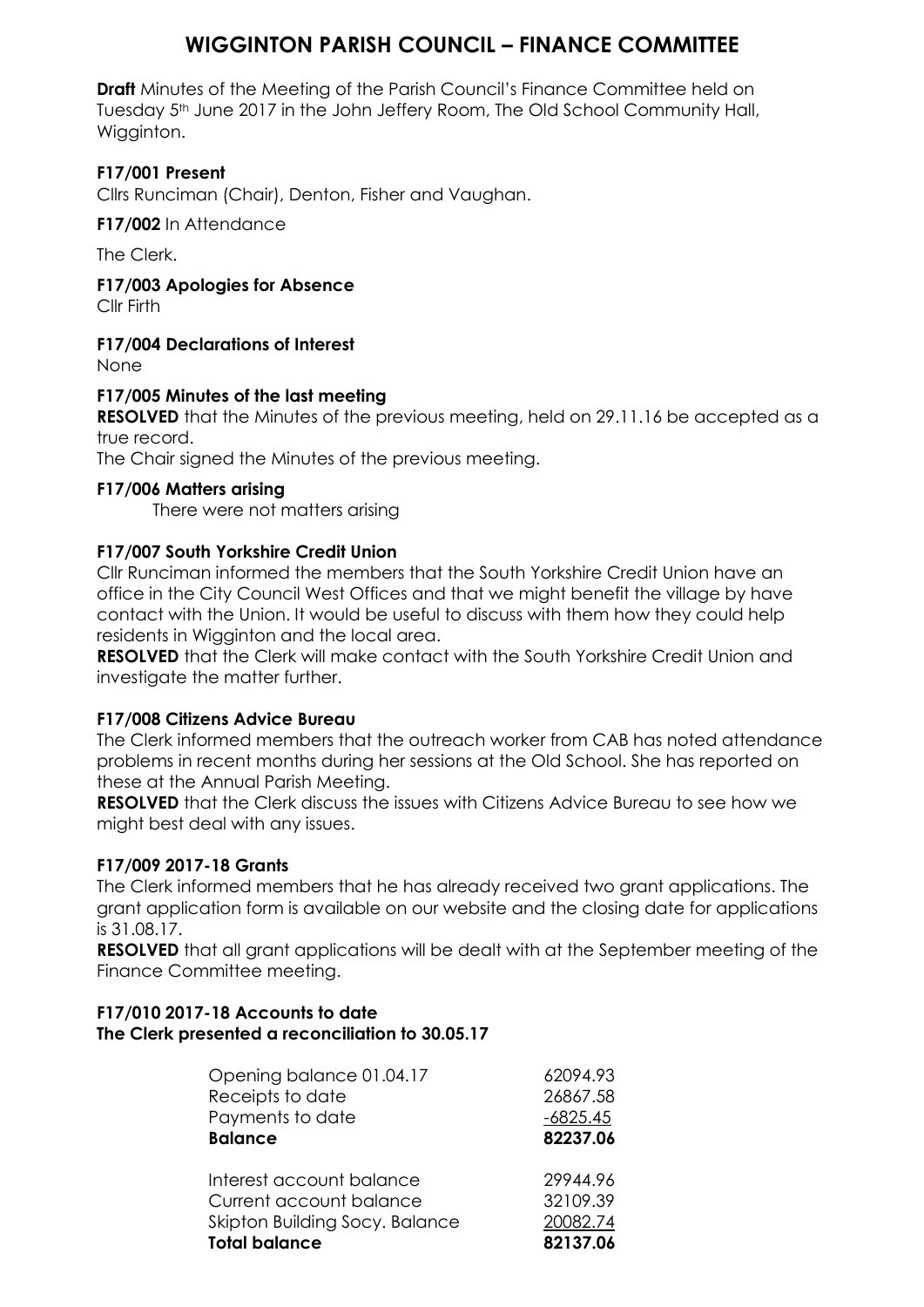# **WIGGINTON PARISH COUNCIL – FINANCE COMMITTEE**

**Draft** Minutes of the Meeting of the Parish Council's Finance Committee held on Tuesday 5<sup>th</sup> June 2017 in the John Jeffery Room, The Old School Community Hall, Wigginton.

## **F17/001 Present**

Cllrs Runciman (Chair), Denton, Fisher and Vaughan.

**F17/002** In Attendance

The Clerk.

**F17/003 Apologies for Absence**

Cllr Firth

## **F17/004 Declarations of Interest**

None

### **F17/005 Minutes of the last meeting**

**RESOLVED** that the Minutes of the previous meeting, held on 29.11.16 be accepted as a true record.

The Chair signed the Minutes of the previous meeting.

### **F17/006 Matters arising**

There were not matters arising

### **F17/007 South Yorkshire Credit Union**

Cllr Runciman informed the members that the South Yorkshire Credit Union have an office in the City Council West Offices and that we might benefit the village by have contact with the Union. It would be useful to discuss with them how they could help residents in Wigginton and the local area.

**RESOLVED** that the Clerk will make contact with the South Yorkshire Credit Union and investigate the matter further.

### **F17/008 Citizens Advice Bureau**

The Clerk informed members that the outreach worker from CAB has noted attendance problems in recent months during her sessions at the Old School. She has reported on these at the Annual Parish Meeting.

**RESOLVED** that the Clerk discuss the issues with Citizens Advice Bureau to see how we might best deal with any issues.

### **F17/009 2017-18 Grants**

The Clerk informed members that he has already received two grant applications. The grant application form is available on our website and the closing date for applications is 31.08.17.

**RESOLVED** that all grant applications will be dealt with at the September meeting of the Finance Committee meeting.

### **F17/010 2017-18 Accounts to date The Clerk presented a reconciliation to 30.05.17**

| Opening balance 01.04.17       | 62094.93   |
|--------------------------------|------------|
| Receipts to date               | 26867.58   |
| Payments to date               | $-6825.45$ |
| <b>Balance</b>                 | 82237.06   |
| Interest account balance       | 29944.96   |
| Current account balance        | 32109.39   |
| Skipton Building Socy. Balance | 20082.74   |
| <b>Total balance</b>           | 82137.06   |